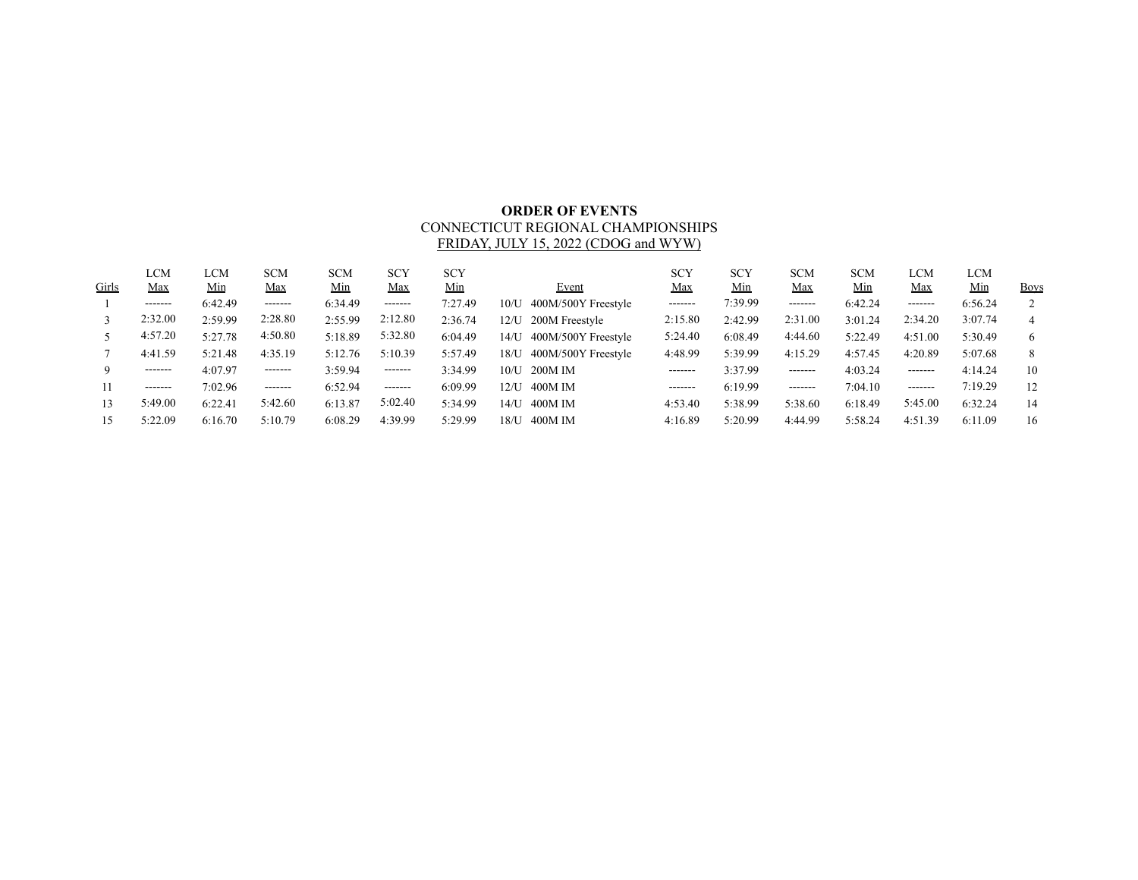## **ORDER OF EVENTS** CONNECTICUT REGIONAL CHAMPIONSHIPS FRIDAY, JULY 15, 2022 (CDOG and WYW)

| Girls | LCM<br><u>Max</u> | LCM<br><u>Min</u> | <b>SCM</b><br><u>Max</u> | <b>SCM</b><br><u>Min</u> | <b>SCY</b><br><b>Max</b> | <b>SCY</b><br>Min | Event                       | <b>SCY</b><br><u>Max</u> | <b>SCY</b><br><u>Min</u> | <b>SCM</b><br><b>Max</b> | <b>SCM</b><br>Min | LCM<br><u>Max</u> | LCM<br>Min | <b>Boys</b> |
|-------|-------------------|-------------------|--------------------------|--------------------------|--------------------------|-------------------|-----------------------------|--------------------------|--------------------------|--------------------------|-------------------|-------------------|------------|-------------|
|       | --------          | 6:42.49           | --------                 | 6:34.49                  | $- - - - - - -$          | 7:27.49           | 400M/500Y Freestyle<br>10/U | --------                 | 7:39.99                  | -------                  | 6:42.24           | -------           | 6:56.24    |             |
|       | 2:32.00           | 2:59.99           | 2:28.80                  | 2:55.99                  | 2:12.80                  | 2:36.74           | 200M Freestyle<br>12/U      | 2:15.80                  | 2:42.99                  | 2:31.00                  | 3:01.24           | 2:34.20           | 3:07.74    | 4           |
|       | 4:57.20           | 5:27.78           | 4:50.80                  | 5:18.89                  | 5:32.80                  | 6:04.49           | 400M/500Y Freestyle<br>14/U | 5:24.40                  | 6:08.49                  | 4:44.60                  | 5:22.49           | 4:51.00           | 5:30.49    | 6           |
|       | 4:41.59           | 5:21.48           | 4:35.19                  | 5:12.76                  | 5:10.39                  | 5:57.49           | 400M/500Y Freestyle<br>18/U | 4:48.99                  | 5:39.99                  | 4:15.29                  | 4:57.45           | 4:20.89           | 5:07.68    | 8           |
|       | --------          | 4:07.97           | --------                 | 3:59.94                  | --------                 | 3:34.99           | 200M IM<br>10/L             | --------                 | 3:37.99                  | -------                  | 4:03.24           | -------           | 4:14.24    | 10          |
|       | --------          | 7:02.96           | -------                  | 6:52.94                  | $- - - - - - -$          | 6:09.99           | 400M IM<br>$12/I$ J         | -------                  | 6:19.99                  | -------                  | 7:04.10           | -------           | 7:19.29    | 12          |
| 13    | 5:49.00           | 6:22.41           | 5:42.60                  | 6:13.87                  | 5:02.40                  | 5:34.99           | 400M IM<br>14/1             | 4:53.40                  | 5:38.99                  | 5:38.60                  | 6:18.49           | 5:45.00           | 6:32.24    | 14          |
|       | 5:22.09           | 6:16.70           | 5:10.79                  | 6:08.29                  | 4:39.99                  | 5:29.99           | 400M IM<br>18/U             | 4:16.89                  | 5:20.99                  | 4:44.99                  | 5:58.24           | 4:51.39           | 6:11.09    | 16          |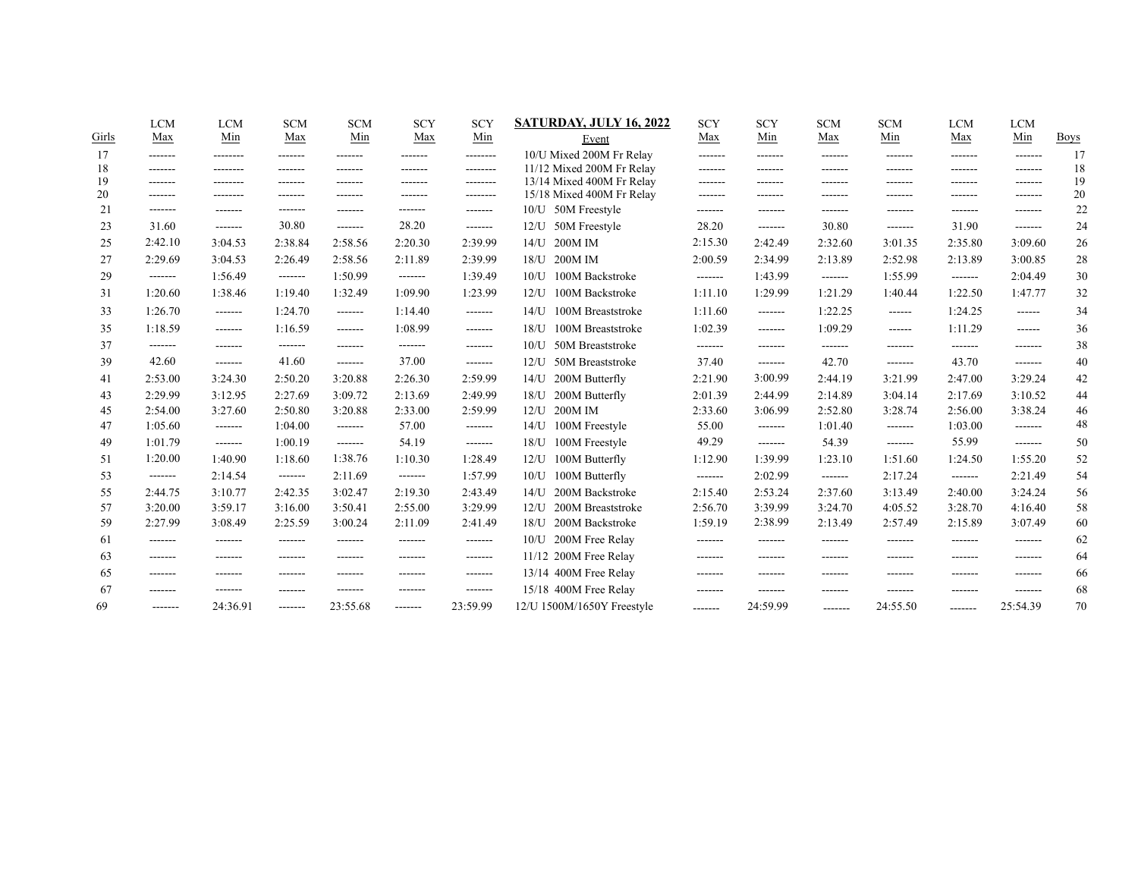|       | <b>LCM</b> | <b>LCM</b> | <b>SCM</b>         | <b>SCM</b>      | <b>SCY</b>      | <b>SCY</b> | <b>SATURDAY, JULY 16, 2022</b> | <b>SCY</b> | <b>SCY</b>      | <b>SCM</b>      | <b>SCM</b>    | <b>LCM</b>      | <b>LCM</b>    |             |
|-------|------------|------------|--------------------|-----------------|-----------------|------------|--------------------------------|------------|-----------------|-----------------|---------------|-----------------|---------------|-------------|
| Girls | Max        | Min        | Max                | Min             | Max             | Min        | Event                          | Max        | Min             | Max             | Min           | Max             | Min           | <b>Boys</b> |
| 17    | -------    | --------   | -------            | -------         | -------         | --------   | 10/U Mixed 200M Fr Relay       | -------    | -------         | -------         | -------       | -------         | -------       | 17          |
| 18    | -------    | --------   | -------            | -------         | -------         | --------   | 11/12 Mixed 200M Fr Relay      | -------    | -------         | -------         | -------       | -------         | --------      | 18          |
| 19    | -------    |            |                    |                 | -------         | --------   | 13/14 Mixed 400M Fr Relay      | -------    |                 | -------         | -------       | .               | -------       | 19          |
| 20    | -------    | --------   | -------<br>------- |                 | --------        | --------   | 15/18 Mixed 400M Fr Relay      | -------    |                 | -------         | -------       | -------         | -------       | 20          |
| 21    | -------    | --------   |                    | -------         | -------         | -------    | 50M Freestyle<br>10/U          | -------    | -------         | -------         | -------       | -------         | -------       | 22          |
| 23    | 31.60      | -------    | 30.80              | -------         | 28.20           | -------    | 50M Freestyle<br>12/U          | 28.20      | --------        | 30.80           | -------       | 31.90           | -------       | 24          |
| 25    | 2:42.10    | 3:04.53    | 2:38.84            | 2:58.56         | 2:20.30         | 2:39.99    | 200M IM<br>14/U                | 2:15.30    | 2:42.49         | 2:32.60         | 3:01.35       | 2:35.80         | 3:09.60       | 26          |
| 27    | 2:29.69    | 3:04.53    | 2:26.49            | 2:58.56         | 2:11.89         | 2:39.99    | 200M IM<br>$18/$ U             | 2:00.59    | 2:34.99         | 2:13.89         | 2:52.98       | 2:13.89         | 3:00.85       | 28          |
| 29    | -------    | 1:56.49    | -------            | 1:50.99         | $- - - - - - -$ | 1:39.49    | 100M Backstroke<br>10/L        | -------    | 1:43.99         | -------         | 1:55.99       | -------         | 2:04.49       | 30          |
| 31    | 1:20.60    | 1:38.46    | 1:19.40            | 1:32.49         | 1:09.90         | 1:23.99    | 100M Backstroke<br>$12/$ U     | 1:11.10    | 1:29.99         | 1:21.29         | 1:40.44       | 1:22.50         | 1:47.77       | 32          |
| 33    | 1:26.70    | -------    | 1:24.70            | -------         | 1:14.40         | -------    | 100M Breaststroke<br>$14/$ U   | 1:11.60    | -------         | 1:22.25         | ------        | 1:24.25         | $- - - - - -$ | 34          |
| 35    | 1:18.59    | --------   | 1:16.59            | -------         | 1:08.99         | -------    | 100M Breaststroke<br>$18/$ U   | 1:02.39    | -------         | 1:09.29         | $- - - - - -$ | 1:11.29         | $- - - - - -$ | 36          |
| 37    | -------    | -------    | -------            | -------         | -------         | -------    | 50M Breaststroke<br>10/L       | -------    | -------         | -------         | -------       | -------         | -------       | 38          |
| 39    | 42.60      | -------    | 41.60              | -------         | 37.00           | -------    | 50M Breaststroke<br>12/I       | 37.40      | -------         | 42.70           | --------      | 43.70           | --------      | 40          |
| 41    | 2:53.00    | 3:24.30    | 2:50.20            | 3:20.88         | 2:26.30         | 2:59.99    | 200M Butterfly<br>$14/$ U      | 2:21.90    | 3:00.99         | 2:44.19         | 3:21.99       | 2:47.00         | 3:29.24       | 42          |
| 43    | 2:29.99    | 3:12.95    | 2:27.69            | 3:09.72         | 2:13.69         | 2:49.99    | 200M Butterfly<br>$18/$ U      | 2:01.39    | 2:44.99         | 2:14.89         | 3:04.14       | 2:17.69         | 3:10.52       | 44          |
| 45    | 2:54.00    | 3:27.60    | 2:50.80            | 3:20.88         | 2:33.00         | 2:59.99    | 200M IM<br>12 <sub>U</sub>     | 2:33.60    | 3:06.99         | 2:52.80         | 3:28.74       | 2:56.00         | 3:38.24       | 46          |
| 47    | 1:05.60    | -------    | 1:04.00            | $- - - - - - -$ | 57.00           | -------    | 100M Freestyle<br>$14/$ U      | 55.00      | --------        | 1:01.40         | -------       | 1:03.00         | -------       | 48          |
| 49    | 1:01.79    | -------    | 1:00.19            | -------         | 54.19           | -------    | 100M Freestyle<br>$18/$ U      | 49.29      | $- - - - - - -$ | 54.39           | -------       | 55.99           | -------       | 50          |
| 51    | 1:20.00    | 1:40.90    | 1:18.60            | 1:38.76         | 1:10.30         | 1:28.49    | 100M Butterfly<br>$12/$ U      | 1:12.90    | 1:39.99         | 1:23.10         | 1:51.60       | 1:24.50         | 1:55.20       | 52          |
| 53    | -------    | 2:14.54    | -------            | 2:11.69         | -------         | 1:57.99    | 100M Butterfly<br>$10/$ U      | -------    | 2:02.99         | -------         | 2:17.24       | -------         | 2:21.49       | 54          |
| 55    | 2:44.75    | 3:10.77    | 2:42.35            | 3:02.47         | 2:19.30         | 2:43.49    | 200M Backstroke<br>$14/$ U     | 2:15.40    | 2:53.24         | 2:37.60         | 3:13.49       | 2:40.00         | 3:24.24       | 56          |
| 57    | 3:20.00    | 3:59.17    | 3:16.00            | 3:50.41         | 2:55.00         | 3:29.99    | 200M Breaststroke<br>12/I      | 2:56.70    | 3:39.99         | 3:24.70         | 4:05.52       | 3:28.70         | 4:16.40       | 58          |
| 59    | 2:27.99    | 3:08.49    | 2:25.59            | 3:00.24         | 2:11.09         | 2:41.49    | $18/$ U<br>200M Backstroke     | 1:59.19    | 2:38.99         | 2:13.49         | 2:57.49       | 2:15.89         | 3:07.49       | 60          |
| 61    | -------    | -------    | --------           | -------         | --------        | -------    | 200M Free Relay<br>$10/$ U     | --------   | -------         | -------         | --------      | -------         | -------       | 62          |
| 63    | --------   | -------    | -------            | -------         | -------         | -------    | 11/12 200M Free Relay          | --------   | -------         | -------         | -------       | -------         | --------      | 64          |
| 65    | -------    | -------    | -------            |                 | -------         | -------    | 13/14 400M Free Relay          | --------   | -------         | -------         | -------       | -------         | -------       | 66          |
| 67    | -------    | -------    | -------            | -------         | -------         | -------    | 15/18 400M Free Relay          | --------   | -------         | -------         | -------       | -------         | -------       | 68          |
| 69    | -------    | 24:36.91   | -------            | 23:55.68        | -------         | 23:59.99   | 12/U 1500M/1650Y Freestyle     | --------   | 24:59.99        | $- - - - - - -$ | 24:55.50      | $- - - - - - -$ | 25:54.39      | 70          |